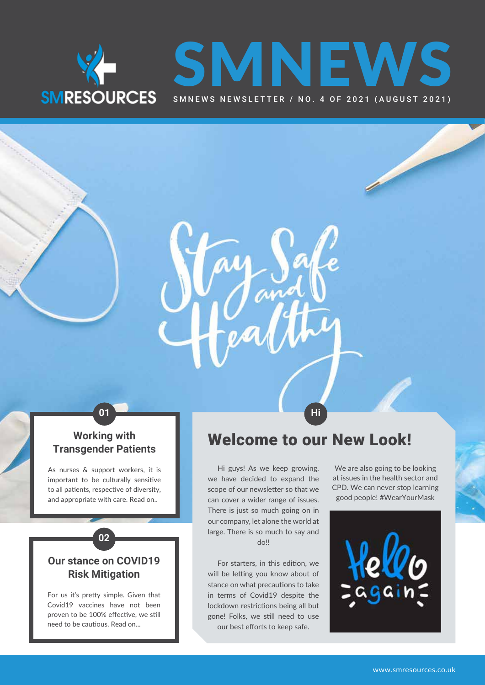



### **Working with Transgender Patients**

As nurses & support workers, it is important to be culturally sensitive to all patients, respective of diversity, and appropriate with care. Read on..

### **Our stance on COVID19 Risk Mitigation**

**02**

For us it's pretty simple. Given that Covid19 vaccines have not been proven to be 100% effective, we still need to be cautious. Read on...

## Welcome to our New Look!

Hi guys! As we keep growing, we have decided to expand the scope of our newsletter so that we can cover a wider range of issues. There is just so much going on in our company, let alone the world at large. There is so much to say and  $d$ 

**01 Hi**

For starters, in this edition, we will be letting you know about of stance on what precautions to take in terms of Covid19 despite the lockdown restrictions being all but gone! Folks, we still need to use our best efforts to keep safe.

We are also going to be looking at issues in the health sector and CPD. We can never stop learning good people! #WearYourMask

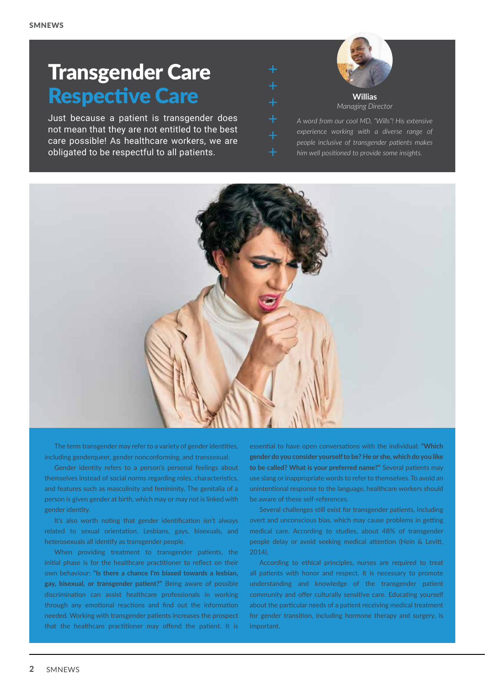## Transgender Care Respective Care

Just because a patient is transgender does not mean that they are not entitled to the best care possible! As healthcare workers, we are obligated to be respectful to all patients.



*A word from our cool MD, "Wills"! His extensive experience working with a diverse range of people inclusive of transgender patients makes him well positioned to provide some insights.*



The term transgender may refer to a variety of gender identities, including genderqueer, gender nonconforming, and transsexual.

Gender identity refers to a person's personal feelings about themselves instead of social norms regarding roles, characteristics, and features such as masculinity and femininity. The genitalia of a person is given gender at birth, which may or may not is linked with gender identity.

It's also worth noting that gender identification isn't always related to sexual orientation. Lesbians, gays, bisexuals, and heterosexuals all identify as transgender people.

When providing treatment to transgender patients, the initial phase is for the healthcare practitioner to reflect on their own behaviour: **"Is there a chance I'm biased towards a lesbian, gay, bisexual, or transgender patient?"** Being aware of possible discrimination can assist healthcare professionals in working through any emotional reactions and find out the information needed. Working with transgender patients increases the prospect that the healthcare practitioner may offend the patient. It is

essential to have open conversations with the individual: **"Which gender do you consider yourself to be? He or she, which do you like to be called? What is your preferred name?"** Several patients may use slang or inappropriate words to refer to themselves. To avoid an unintentional response to the language, healthcare workers should be aware of these self-references.

Several challenges still exist for transgender patients, including overt and unconscious bias, which may cause problems in getting medical care. According to studies, about 48% of transgender people delay or avoid seeking medical attention (Hein & Levitt, 2014).

According to ethical principles, nurses are required to treat all patients with honor and respect. It is necessary to promote understanding and knowledge of the transgender patient community and offer culturally sensitive care. Educating yourself about the particular needs of a patient receiving medical treatment for gender transition, including hormone therapy and surgery, is important.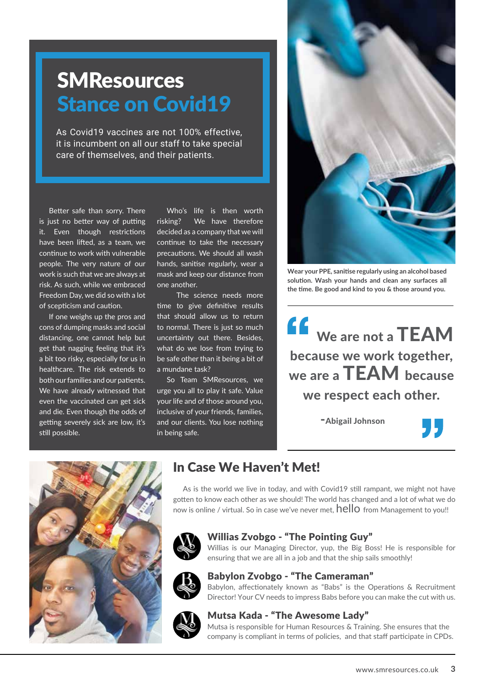# **SMResources Stance on Covid19**

As Covid19 vaccines are not 100% effective, it is incumbent on all our staff to take special care of themselves, and their patients.

Better safe than sorry. There is just no better way of putting it. Even though restrictions have been lifted, as a team, we continue to work with vulnerable people. The very nature of our work is such that we are always at risk. As such, while we embraced Freedom Day, we did so with a lot of scepticism and caution.

If one weighs up the pros and cons of dumping masks and social distancing, one cannot help but get that nagging feeling that it's a bit too risky, especially for us in healthcare. The risk extends to both our families and our patients. We have already witnessed that even the vaccinated can get sick and die. Even though the odds of getting severely sick are low, it's still possible.

Who's life is then worth risking? We have therefore decided as a company that we will continue to take the necessary precautions. We should all wash hands, sanitise regularly, wear a mask and keep our distance from one another.

 The science needs more time to give definitive results that should allow us to return to normal. There is just so much uncertainty out there. Besides, what do we lose from trying to be safe other than it being a bit of a mundane task?

So Team SMResources, we urge you all to play it safe. Value your life and of those around you, inclusive of your friends, families, and our clients. You lose nothing in being safe.



**Wear your PPE, sanitise regularly using an alcohol based solution. Wash your hands and clean any surfaces all the time. Be good and kind to you & those around you.**



-Abigail Johnson





## In Case We Haven't Met!

As is the world we live in today, and with Covid19 still rampant, we might not have gotten to know each other as we should! The world has changed and a lot of what we do now is online / virtual. So in case we've never met,  $\text{hello}$  from Management to you!!



#### Willias Zvobgo - "The Pointing Guy"

Willias is our Managing Director, yup, the Big Boss! He is responsible for ensuring that we are all in a job and that the ship sails smoothly!



#### Babylon Zvobgo - "The Cameraman"

Babylon, affectionately known as "Babs" is the Operations & Recruitment Director! Your CV needs to impress Babs before you can make the cut with us.



#### Mutsa Kada - "The Awesome Lady"

Mutsa is responsible for Human Resources & Training. She ensures that the company is compliant in terms of policies, and that staff participate in CPDs.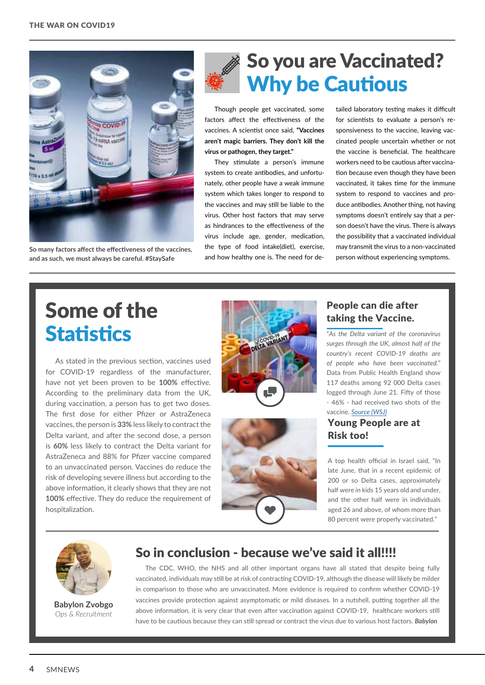

**So many factors affect the effectiveness of the vaccines, and as such, we must always be careful. #StaySafe**

## So you are Vaccinated? Why be Cautious

Though people get vaccinated, some factors affect the effectiveness of the vaccines. A scientist once said, **"Vaccines aren't magic barriers. They don't kill the virus or pathogen, they target."** 

They stimulate a person's immune system to create antibodies, and unfortunately, other people have a weak immune system which takes longer to respond to the vaccines and may still be liable to the virus. Other host factors that may serve as hindrances to the effectiveness of the virus include age, gender, medication, the type of food intake(diet), exercise, and how healthy one is. The need for detailed laboratory testing makes it difficult for scientists to evaluate a person's responsiveness to the vaccine, leaving vaccinated people uncertain whether or not the vaccine is beneficial. The healthcare workers need to be cautious after vaccination because even though they have been vaccinated, it takes time for the immune system to respond to vaccines and produce antibodies. Another thing, not having symptoms doesn't entirely say that a person doesn't have the virus. There is always the possibility that a vaccinated individual may transmit the virus to a non-vaccinated person without experiencing symptoms.

# Some of the **Statistics**

As stated in the previous section, vaccines used for COVID-19 regardless of the manufacturer, have not yet been proven to be **100%** effective. According to the preliminary data from the UK, during vaccination, a person has to get two doses. The first dose for either Pfizer or AstraZeneca vaccines, the person is **33%** less likely to contract the Delta variant, and after the second dose, a person is **60%** less likely to contract the Delta variant for AstraZeneca and 88% for Pfizer vaccine compared to an unvaccinated person. Vaccines do reduce the risk of developing severe illness but according to the above information, it clearly shows that they are not **100%** effective. They do reduce the requirement of hospitalization.





### People can die after taking the Vaccine.

"*As the Delta variant of the coronavirus surges through the UK, almost half of the country's recent COVID-19 deaths are of people who have been vaccinated.*" Data from Public Health England show 117 deaths among 92 000 Delta cases logged through June 21. Fifty of those - 46% - had received two shots of the vaccine. *[Source](https://www.wsj.com/articles/some-vaccinated-people-are-dying-of-covid-19-heres-why-scientists-arent-surprised-11625227200) (WSJ)*

### Young People are at Risk too!

A top health official in Israel said, "In late June, that in a recent epidemic of 200 or so Delta cases, approximately half were in kids 15 years old and under, and the other half were in individuals aged 26 and above, of whom more than 80 percent were properly vaccinated."



**Babylon Zvobgo** *Ops & Recruitment*

### So in conclusion - because we've said it all!!!!

The CDC, WHO, the NHS and all other important organs have all stated that despite being fully vaccinated, individuals may still be at risk of contracting COVID-19, although the disease will likely be milder in comparison to those who are unvaccinated. More evidence is required to confirm whether COVID-19 vaccines provide protection against asymptomatic or mild diseases. In a nutshell, putting together all the above information, it is very clear that even after vaccination against COVID-19, healthcare workers still have to be cautious because they can still spread or contract the virus due to various host factors. *Babylon*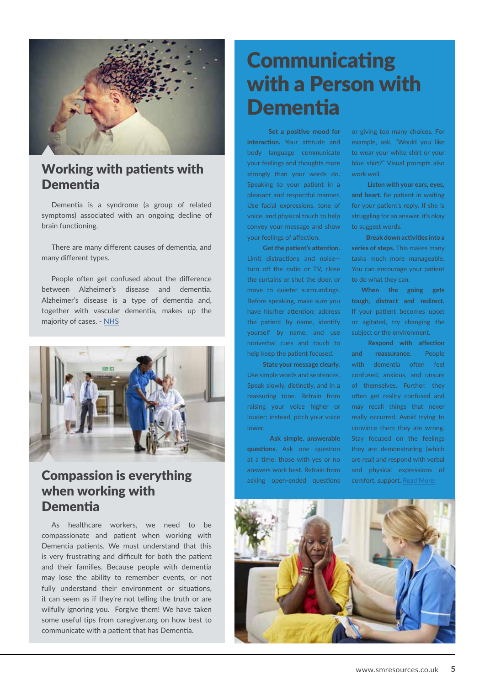

### Working with patients with **Dementia**

Dementia is a syndrome (a group of related symptoms) associated with an ongoing decline of brain functioning.

There are many different causes of dementia, and many different types.

People often get confused about the difference between Alzheimer's disease and dementia. Alzheimer's disease is a type of dementia and, together with vascular dementia, makes up the majority of cases. - [NHS](https://www.nhs.uk/conditions/dementia/about/)



## **Compassion is everything** answers work best. Refrain from and physical expressions of asking open-ended questions comfort, support. [Read More:](https://www.caregiver.org/resource/caregivers-guide-understanding-dementia-behaviors/) when working with **Dementia**

As healthcare workers, we need to be compassionate and patient when working with Dementia patients. We must understand that this is very frustrating and difficult for both the patient and their families. Because people with dementia may lose the ability to remember events, or not fully understand their environment or situations, it can seem as if they're not telling the truth or are wilfully ignoring you. Forgive them! We have taken some useful tips from caregiver.org on how best to communicate with a patient that has Dementia.

# **Communicating** with a Person with **Dementia**

 **Set a positive mood for interaction.** Your attitude and body language communicate your feelings and thoughts more strongly than your words do. Speaking to your patient in a pleasant and respectful manner. Use facial expressions, tone of voice, and physical touch to help convey your message and show your feelings of affection.

 **Get the patient's attention.**  Limit distractions and noise turn off the radio or TV, close the curtains or shut the door, or move to quieter surroundings. Before speaking, make sure you have his/her attention; address the patient by name, identify yourself by name, and use nonverbal cues and touch to help keep the patient focused.

 **State your message clearly.**  Use simple words and sentences. Speak slowly, distinctly, and in a reassuring tone. Refrain from raising your voice higher or louder; instead, pitch your voice lower.

 **Ask simple, answerable questions.** Ask one question at a time; those with yes or no answers work best. Refrain from asking open-ended questions

or giving too many choices. For example, ask, "Would you like to wear your white shirt or your blue shirt?" Visual prompts also work well.

 **Listen with your ears, eyes, and heart.** Be patient in waiting for your patient's reply. If she is struggling for an answer, it's okay to suggest words.

 **Break down activities into a series of steps.** This makes many tasks much more manageable. You can encourage your patient to do what they can.

**When the going gets tough, distract and redirect.** If your patient becomes upset or agitated, try changing the subject or the environment.

**Respond with affection and reassurance**. People with dementia often feel confused, anxious, and unsure of themselves. Further, they often get reality confused and may recall things that never really occurred. Avoid trying to convince them they are wrong. Stay focused on the feelings they are demonstrating (which are real) and respond with verbal

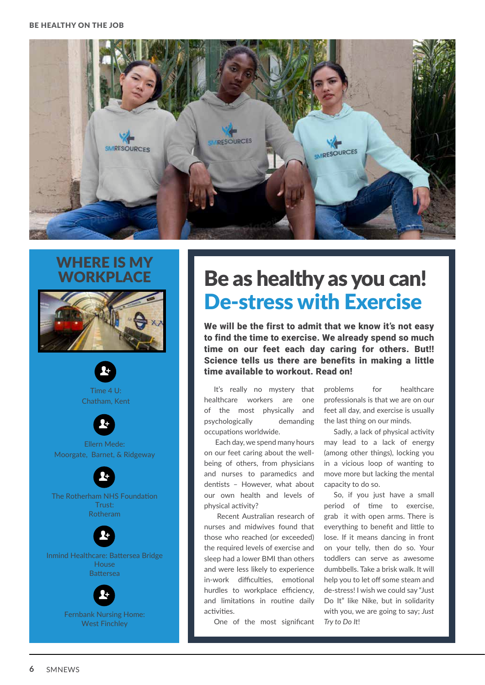

## WHERE IS MY **WORKPLACE**





Inmind Healthcare: Battersea Bridge House **Battersea** 



# Be as healthy as you can! De-stress with Exercise

We will be the first to admit that we know it's not easy to find the time to exercise. We already spend so much time on our feet each day caring for others. But!! Science tells us there are benefits in making a little time available to workout. Read on!

It's really no mystery that healthcare workers are one of the most physically and psychologically demanding occupations worldwide.

 Each day, we spend many hours on our feet caring about the wellbeing of others, from physicians and nurses to paramedics and dentists – However, what about our own health and levels of physical activity?

 Recent Australian research of nurses and midwives found that those who reached (or exceeded) the required levels of exercise and sleep had a lower BMI than others and were less likely to experience in-work difficulties, emotional hurdles to workplace efficiency, and limitations in routine daily activities.

One of the most significant

problems for healthcare professionals is that we are on our feet all day, and exercise is usually the last thing on our minds.

Sadly, a lack of physical activity may lead to a lack of energy (among other things), locking you in a vicious loop of wanting to move more but lacking the mental capacity to do so.

So, if you just have a small period of time to exercise, grab it with open arms. There is everything to benefit and little to lose. If it means dancing in front on your telly, then do so. Your toddlers can serve as awesome dumbbells. Take a brisk walk. It will help you to let off some steam and de-stress! I wish we could say "Just Do It" like Nike, but in solidarity with you, we are going to say; *Just Try to Do It*!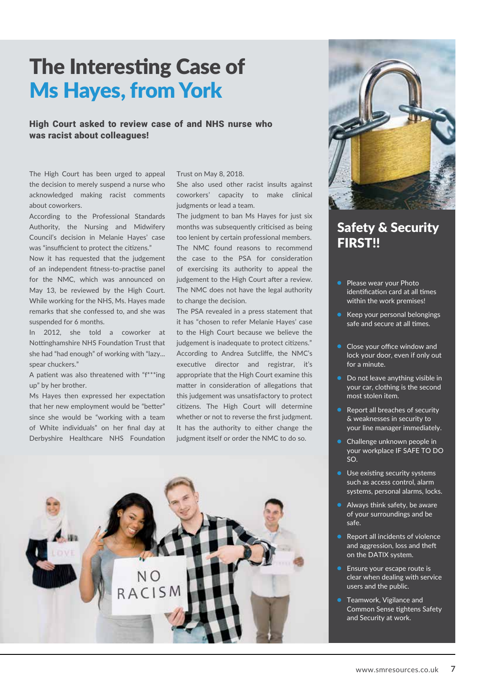## The Interesting Case of Ms Hayes, from York

High Court asked to review case of and NHS nurse who was racist about colleagues!

The High Court has been urged to appeal the decision to merely suspend a nurse who acknowledged making racist comments about coworkers.

According to the Professional Standards Authority, the Nursing and Midwifery Council's decision in Melanie Hayes' case was "insufficient to protect the citizens."

Now it has requested that the judgement of an independent fitness-to-practise panel for the NMC, which was announced on May 13, be reviewed by the High Court. While working for the NHS, Ms. Hayes made remarks that she confessed to, and she was suspended for 6 months.

In 2012, she told a coworker at Nottinghamshire NHS Foundation Trust that she had "had enough" of working with "lazy... spear chuckers."

A patient was also threatened with "f\*\*\*ing up" by her brother.

Ms Hayes then expressed her expectation that her new employment would be "better" since she would be "working with a team of White individuals" on her final day at Derbyshire Healthcare NHS Foundation

Trust on May 8, 2018.

She also used other racist insults against coworkers' capacity to make clinical judgments or lead a team.

The judgment to ban Ms Hayes for just six months was subsequently criticised as being too lenient by certain professional members. The NMC found reasons to recommend the case to the PSA for consideration of exercising its authority to appeal the judgement to the High Court after a review. The NMC does not have the legal authority to change the decision.

The PSA revealed in a press statement that it has "chosen to refer Melanie Hayes' case to the High Court because we believe the judgement is inadequate to protect citizens." According to Andrea Sutcliffe, the NMC's executive director and registrar, it's appropriate that the High Court examine this matter in consideration of allegations that this judgement was unsatisfactory to protect citizens. The High Court will determine whether or not to reverse the first judgment. It has the authority to either change the judgment itself or order the NMC to do so.





### Safety & Security FIRST!!

- Please wear your Photo identification card at all times within the work premises!
- Keep your personal belongings safe and secure at all times.
- Close your office window and lock your door, even if only out for a minute.
- Do not leave anything visible in your car, clothing is the second most stolen item.
- Report all breaches of security & weaknesses in security to your line manager immediately.
- Challenge unknown people in your workplace IF SAFE TO DO SO.
- **Use existing security systems** such as access control, alarm systems, personal alarms, locks.
- Always think safety, be aware of your surroundings and be safe.
- Report all incidents of violence and aggression, loss and theft on the DATIX system.
- Ensure your escape route is clear when dealing with service users and the public.
- Teamwork, Vigilance and Common Sense tightens Safety and Security at work.